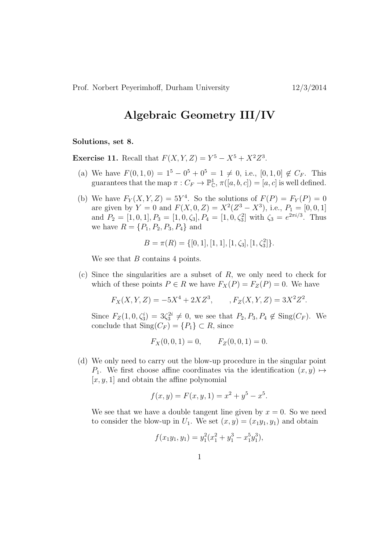Prof. Norbert Peyerimhoff, Durham University 12/3/2014

## Algebraic Geometry III/IV

Solutions, set 8.

**Exercise 11.** Recall that  $F(X, Y, Z) = Y^5 - X^5 + X^2 Z^3$ .

- (a) We have  $F(0, 1, 0) = 1^5 0^5 + 0^5 = 1 \neq 0$ , i.e.,  $[0, 1, 0] \notin C_F$ . This guarantees that the map  $\pi: C_F \to \mathbb{P}^1_{\mathbb{C}}, \pi([a, b, c]) = [a, c]$  is well defined.
- (b) We have  $F_Y(X, Y, Z) = 5Y^4$ . So the solutions of  $F(P) = F_Y(P) = 0$ are given by  $Y = 0$  and  $F(X, 0, Z) = X^2(Z^3 - X^3)$ , i.e.,  $P_1 = [0, 0, 1]$ and  $P_2 = [1, 0, 1], P_3 = [1, 0, \zeta_3], P_4 = [1, 0, \zeta_3^2]$  with  $\zeta_3 = e^{2\pi i/3}$ . Thus we have  $R = \{P_1, P_2, P_3, P_4\}$  and

$$
B = \pi(R) = \{[0, 1], [1, 1], [1, \zeta_3], [1, \zeta_3^2]\}.
$$

We see that B contains 4 points.

(c) Since the singularities are a subset of  $R$ , we only need to check for which of these points  $P \in R$  we have  $F_X(P) = F_Z(P) = 0$ . We have

 $F_X(X, Y, Z) = -5X^4 + 2XZ^3, \qquad, F_Z(X, Y, Z) = 3X^2Z^2.$ 

Since  $F_Z(1, 0, \zeta_3^i) = 3\zeta_3^{2i} \neq 0$ , we see that  $P_2, P_3, P_4 \notin Sing(C_F)$ . We conclude that  $\text{Sing}(C_F) = \{P_1\} \subset R$ , since

$$
F_X(0,0,1) = 0,
$$
  $F_Z(0,0,1) = 0.$ 

(d) We only need to carry out the blow-up procedure in the singular point P<sub>1</sub>. We first choose affine coordinates via the identification  $(x, y) \mapsto$  $[x, y, 1]$  and obtain the affine polynomial

$$
f(x, y) = F(x, y, 1) = x^2 + y^5 - x^5.
$$

We see that we have a double tangent line given by  $x = 0$ . So we need to consider the blow-up in  $U_1$ . We set  $(x, y) = (x_1y_1, y_1)$  and obtain

$$
f(x_1y_1, y_1) = y_1^2(x_1^2 + y_1^3 - x_1^5y_1^3),
$$